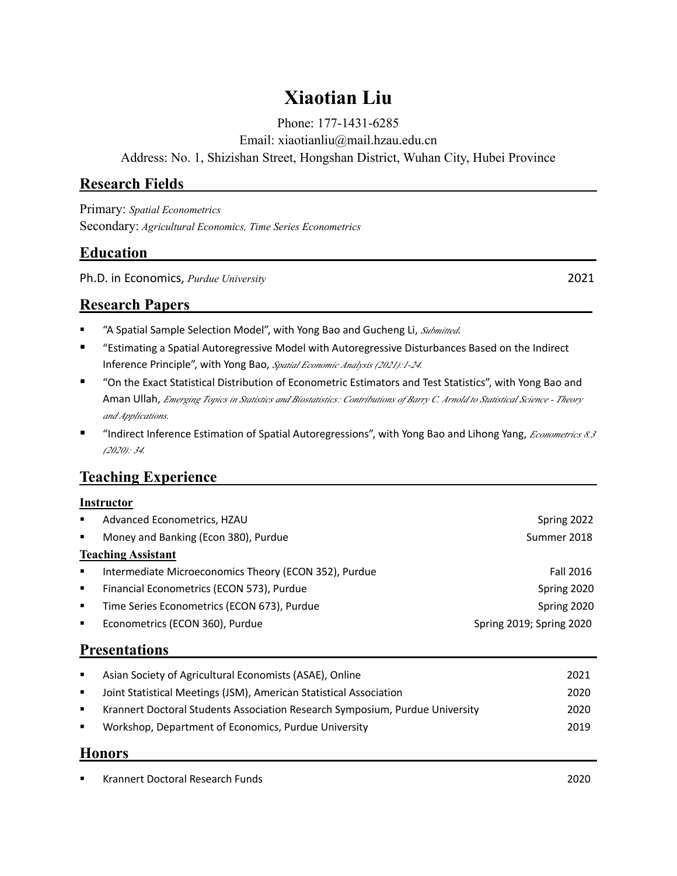# **Xiaotian Liu**

Phone: 177-1431-6285

Email: xiaotianliu@mail.hzau.edu.cn

Address: No. 1, Shizishan Street, Hongshan District, Wuhan City, Hubei Province

### **Research Fields**

Primary: *Spatial Econometrics* Secondary: *Agricultural Economics, Time Series Econometrics*

### **Education**

Ph.D. in Economics, *Purdue University* 2021

### **Research Papers**

- "A Spatial Sample Selection Model", with Yong Bao and Gucheng Li, *Submitted*.
- "Estimating a Spatial Autoregressive Model with Autoregressive Disturbances Based on the Indirect Inference Principle", with Yong Bao, *Spatial Economic Analysis (2021):1-24.*
- "On the Exact Statistical Distribution of Econometric Estimators and Test Statistics", with Yong Bao and Aman Ullah, *Emerging Topics in Statistics and Biostatistics: Contributions of Barry C. Arnold to Statistical Science - Theory and Applications.*
- "Indirect Inference Estimation of Spatial Autoregressions", with Yong Bao and Lihong Yang, *Econometrics 8.3 (2020): 34.*

## **Teaching Experience**

#### **Instructor**

| л.                        | Advanced Econometrics, HZAU                           | Spring 2022              |  |  |
|---------------------------|-------------------------------------------------------|--------------------------|--|--|
| $\blacksquare$            | Money and Banking (Econ 380), Purdue                  | Summer 2018              |  |  |
| <b>Teaching Assistant</b> |                                                       |                          |  |  |
| л.                        | Intermediate Microeconomics Theory (ECON 352), Purdue | Fall 2016                |  |  |
| $\blacksquare$            | Financial Econometrics (ECON 573), Purdue             | Spring 2020              |  |  |
| л.                        | Time Series Econometrics (ECON 673), Purdue           | Spring 2020              |  |  |
| $\blacksquare$            | Econometrics (ECON 360), Purdue                       | Spring 2019; Spring 2020 |  |  |

### **Presentations**

| Asian Society of Agricultural Economists (ASAE), Online                      | 2021 |
|------------------------------------------------------------------------------|------|
| Joint Statistical Meetings (JSM), American Statistical Association           | 2020 |
| Krannert Doctoral Students Association Research Symposium, Purdue University | 2020 |
| Workshop, Department of Economics, Purdue University                         | 2019 |
|                                                                              |      |

#### **Honors**

▪ Krannert Doctoral Research Funds 2020